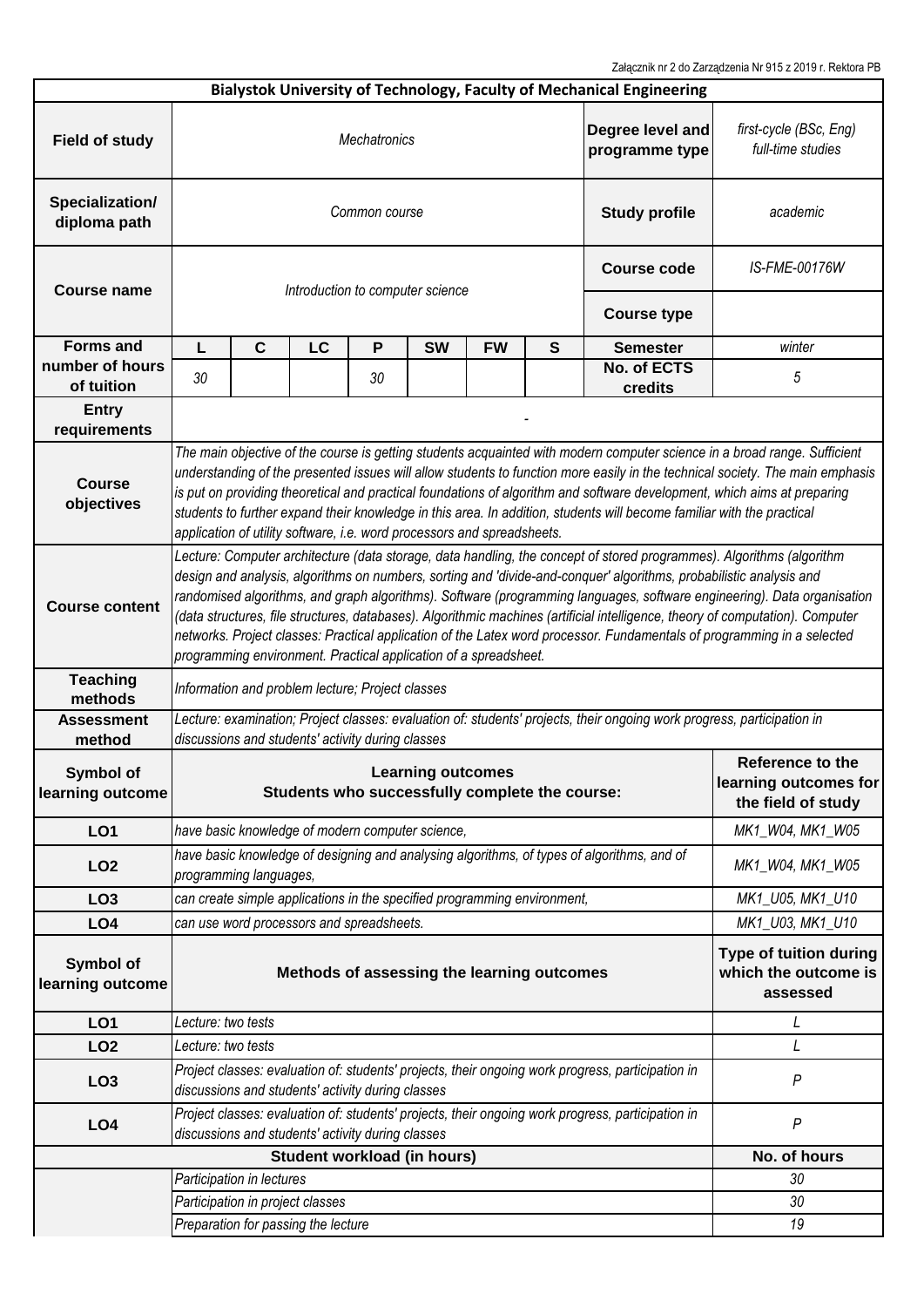Załącznik nr 2 do Zarządzenia Nr 915 z 2019 r. Rektora PB

|                                 |                                                                                                                                                                                                                                                                                                                                                                                                                                                                                                                                                                                                                                                                                                          |                                                                                                                      |                                                   |    |                                                                            |               |                                                            | Bialystok University of Technology, Faculty of Mechanical Engineering                             |                                                                 |  |  |
|---------------------------------|----------------------------------------------------------------------------------------------------------------------------------------------------------------------------------------------------------------------------------------------------------------------------------------------------------------------------------------------------------------------------------------------------------------------------------------------------------------------------------------------------------------------------------------------------------------------------------------------------------------------------------------------------------------------------------------------------------|----------------------------------------------------------------------------------------------------------------------|---------------------------------------------------|----|----------------------------------------------------------------------------|---------------|------------------------------------------------------------|---------------------------------------------------------------------------------------------------|-----------------------------------------------------------------|--|--|
| <b>Field of study</b>           | Degree level and<br><b>Mechatronics</b><br>programme type                                                                                                                                                                                                                                                                                                                                                                                                                                                                                                                                                                                                                                                |                                                                                                                      |                                                   |    |                                                                            |               |                                                            | first-cycle (BSc, Eng)<br>full-time studies                                                       |                                                                 |  |  |
| Specialization/<br>diploma path | <b>Study profile</b><br>Common course                                                                                                                                                                                                                                                                                                                                                                                                                                                                                                                                                                                                                                                                    |                                                                                                                      |                                                   |    |                                                                            |               |                                                            |                                                                                                   | academic                                                        |  |  |
| <b>Course name</b>              |                                                                                                                                                                                                                                                                                                                                                                                                                                                                                                                                                                                                                                                                                                          |                                                                                                                      | Introduction to computer science                  |    | <b>Course code</b>                                                         | IS-FME-00176W |                                                            |                                                                                                   |                                                                 |  |  |
|                                 |                                                                                                                                                                                                                                                                                                                                                                                                                                                                                                                                                                                                                                                                                                          |                                                                                                                      |                                                   |    |                                                                            |               |                                                            | <b>Course type</b>                                                                                |                                                                 |  |  |
| <b>Forms and</b>                | L                                                                                                                                                                                                                                                                                                                                                                                                                                                                                                                                                                                                                                                                                                        | $\mathbf{C}$                                                                                                         | LC                                                | P  | <b>SW</b>                                                                  | <b>FW</b>     | $\mathbf{s}$                                               | <b>Semester</b>                                                                                   | winter                                                          |  |  |
| number of hours<br>of tuition   | 30                                                                                                                                                                                                                                                                                                                                                                                                                                                                                                                                                                                                                                                                                                       |                                                                                                                      |                                                   | 30 |                                                                            |               |                                                            | No. of ECTS<br>credits                                                                            | 5                                                               |  |  |
| <b>Entry</b><br>requirements    |                                                                                                                                                                                                                                                                                                                                                                                                                                                                                                                                                                                                                                                                                                          |                                                                                                                      |                                                   |    |                                                                            |               |                                                            |                                                                                                   |                                                                 |  |  |
| <b>Course</b><br>objectives     | The main objective of the course is getting students acquainted with modern computer science in a broad range. Sufficient<br>understanding of the presented issues will allow students to function more easily in the technical society. The main emphasis<br>is put on providing theoretical and practical foundations of algorithm and software development, which aims at preparing<br>students to further expand their knowledge in this area. In addition, students will become familiar with the practical<br>application of utility software, i.e. word processors and spreadsheets.                                                                                                              |                                                                                                                      |                                                   |    |                                                                            |               |                                                            |                                                                                                   |                                                                 |  |  |
| <b>Course content</b>           | Lecture: Computer architecture (data storage, data handling, the concept of stored programmes). Algorithms (algorithm<br>design and analysis, algorithms on numbers, sorting and 'divide-and-conquer' algorithms, probabilistic analysis and<br>randomised algorithms, and graph algorithms). Software (programming languages, software engineering). Data organisation<br>(data structures, file structures, databases). Algorithmic machines (artificial intelligence, theory of computation). Computer<br>networks. Project classes: Practical application of the Latex word processor. Fundamentals of programming in a selected<br>programming environment. Practical application of a spreadsheet. |                                                                                                                      |                                                   |    |                                                                            |               |                                                            |                                                                                                   |                                                                 |  |  |
| <b>Teaching</b><br>methods      | Information and problem lecture; Project classes                                                                                                                                                                                                                                                                                                                                                                                                                                                                                                                                                                                                                                                         |                                                                                                                      |                                                   |    |                                                                            |               |                                                            |                                                                                                   |                                                                 |  |  |
| <b>Assessment</b><br>method     | Lecture: examination; Project classes: evaluation of: students' projects, their ongoing work progress, participation in<br>discussions and students' activity during classes                                                                                                                                                                                                                                                                                                                                                                                                                                                                                                                             |                                                                                                                      |                                                   |    |                                                                            |               |                                                            |                                                                                                   |                                                                 |  |  |
| Symbol of<br>learning outcome   |                                                                                                                                                                                                                                                                                                                                                                                                                                                                                                                                                                                                                                                                                                          |                                                                                                                      |                                                   |    | <b>Learning outcomes</b><br>Students who successfully complete the course: |               |                                                            |                                                                                                   | Reference to the<br>learning outcomes for<br>the field of study |  |  |
| LO <sub>1</sub>                 |                                                                                                                                                                                                                                                                                                                                                                                                                                                                                                                                                                                                                                                                                                          |                                                                                                                      |                                                   |    | have basic knowledge of modern computer science,                           |               |                                                            |                                                                                                   | MK1_W04, MK1_W05                                                |  |  |
| LO <sub>2</sub>                 |                                                                                                                                                                                                                                                                                                                                                                                                                                                                                                                                                                                                                                                                                                          | have basic knowledge of designing and analysing algorithms, of types of algorithms, and of<br>programming languages, |                                                   |    |                                                                            |               |                                                            | MK1_W04, MK1_W05                                                                                  |                                                                 |  |  |
| LO <sub>3</sub>                 |                                                                                                                                                                                                                                                                                                                                                                                                                                                                                                                                                                                                                                                                                                          |                                                                                                                      |                                                   |    | can create simple applications in the specified programming environment,   |               |                                                            |                                                                                                   | MK1_U05, MK1_U10                                                |  |  |
| LO <sub>4</sub>                 |                                                                                                                                                                                                                                                                                                                                                                                                                                                                                                                                                                                                                                                                                                          |                                                                                                                      | can use word processors and spreadsheets.         |    |                                                                            |               | MK1_U03, MK1_U10                                           |                                                                                                   |                                                                 |  |  |
| Symbol of<br>learning outcome   | Methods of assessing the learning outcomes                                                                                                                                                                                                                                                                                                                                                                                                                                                                                                                                                                                                                                                               |                                                                                                                      |                                                   |    |                                                                            |               | Type of tuition during<br>which the outcome is<br>assessed |                                                                                                   |                                                                 |  |  |
| LO <sub>1</sub>                 | Lecture: two tests                                                                                                                                                                                                                                                                                                                                                                                                                                                                                                                                                                                                                                                                                       |                                                                                                                      |                                                   |    |                                                                            |               |                                                            |                                                                                                   | L                                                               |  |  |
| LO <sub>2</sub>                 | Lecture: two tests                                                                                                                                                                                                                                                                                                                                                                                                                                                                                                                                                                                                                                                                                       |                                                                                                                      |                                                   |    |                                                                            |               |                                                            |                                                                                                   | L                                                               |  |  |
| LO <sub>3</sub>                 |                                                                                                                                                                                                                                                                                                                                                                                                                                                                                                                                                                                                                                                                                                          |                                                                                                                      | discussions and students' activity during classes |    |                                                                            |               |                                                            | Project classes: evaluation of: students' projects, their ongoing work progress, participation in | $\boldsymbol{P}$                                                |  |  |
| LO <sub>4</sub>                 | Project classes: evaluation of: students' projects, their ongoing work progress, participation in<br>$\boldsymbol{P}$<br>discussions and students' activity during classes                                                                                                                                                                                                                                                                                                                                                                                                                                                                                                                               |                                                                                                                      |                                                   |    |                                                                            |               |                                                            |                                                                                                   |                                                                 |  |  |
| Student workload (in hours)     |                                                                                                                                                                                                                                                                                                                                                                                                                                                                                                                                                                                                                                                                                                          |                                                                                                                      |                                                   |    |                                                                            |               |                                                            |                                                                                                   | No. of hours                                                    |  |  |
|                                 | Participation in lectures                                                                                                                                                                                                                                                                                                                                                                                                                                                                                                                                                                                                                                                                                |                                                                                                                      |                                                   |    |                                                                            |               |                                                            |                                                                                                   | 30                                                              |  |  |
|                                 |                                                                                                                                                                                                                                                                                                                                                                                                                                                                                                                                                                                                                                                                                                          |                                                                                                                      | Participation in project classes                  |    |                                                                            |               |                                                            |                                                                                                   | 30                                                              |  |  |
|                                 |                                                                                                                                                                                                                                                                                                                                                                                                                                                                                                                                                                                                                                                                                                          |                                                                                                                      | Preparation for passing the lecture               |    |                                                                            |               |                                                            |                                                                                                   | 19                                                              |  |  |
|                                 |                                                                                                                                                                                                                                                                                                                                                                                                                                                                                                                                                                                                                                                                                                          |                                                                                                                      |                                                   |    |                                                                            |               |                                                            |                                                                                                   |                                                                 |  |  |